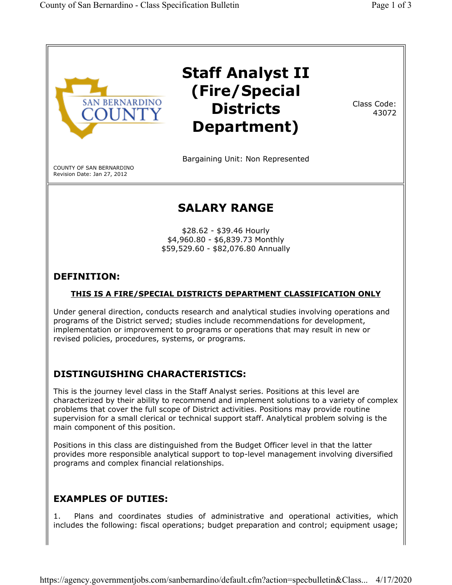

# DISTINGUISHING CHARACTERISTICS:

This is the journey level class in the Staff Analyst series. Positions at this level are characterized by their ability to recommend and implement solutions to a variety of complex problems that cover the full scope of District activities. Positions may provide routine supervision for a small clerical or technical support staff. Analytical problem solving is the main component of this position.

Positions in this class are distinguished from the Budget Officer level in that the latter provides more responsible analytical support to top-level management involving diversified programs and complex financial relationships.

# EXAMPLES OF DUTIES:

1. Plans and coordinates studies of administrative and operational activities, which includes the following: fiscal operations; budget preparation and control; equipment usage;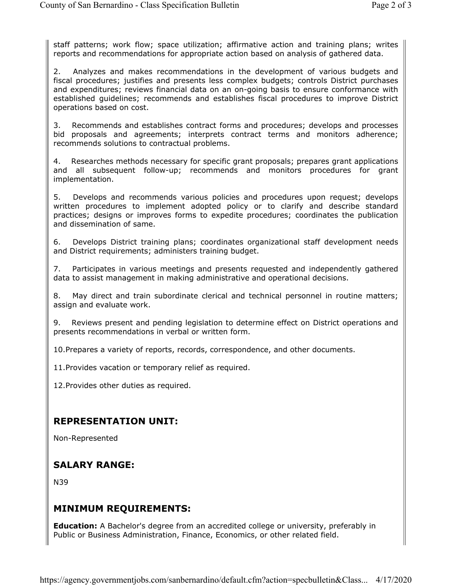staff patterns; work flow; space utilization; affirmative action and training plans; writes reports and recommendations for appropriate action based on analysis of gathered data.

2. Analyzes and makes recommendations in the development of various budgets and fiscal procedures; justifies and presents less complex budgets; controls District purchases and expenditures; reviews financial data on an on-going basis to ensure conformance with established guidelines; recommends and establishes fiscal procedures to improve District operations based on cost.

3. Recommends and establishes contract forms and procedures; develops and processes bid proposals and agreements; interprets contract terms and monitors adherence; recommends solutions to contractual problems.

4. Researches methods necessary for specific grant proposals; prepares grant applications and all subsequent follow-up; recommends and monitors procedures for grant implementation.

5. Develops and recommends various policies and procedures upon request; develops written procedures to implement adopted policy or to clarify and describe standard practices; designs or improves forms to expedite procedures; coordinates the publication and dissemination of same.

6. Develops District training plans; coordinates organizational staff development needs and District requirements; administers training budget.

7. Participates in various meetings and presents requested and independently gathered data to assist management in making administrative and operational decisions.

8. May direct and train subordinate clerical and technical personnel in routine matters; assign and evaluate work.

9. Reviews present and pending legislation to determine effect on District operations and presents recommendations in verbal or written form.

10.Prepares a variety of reports, records, correspondence, and other documents.

11.Provides vacation or temporary relief as required.

12.Provides other duties as required.

#### REPRESENTATION UNIT:

Non-Represented

### SALARY RANGE:

N39

### MINIMUM REQUIREMENTS:

**Education:** A Bachelor's degree from an accredited college or university, preferably in Public or Business Administration, Finance, Economics, or other related field.